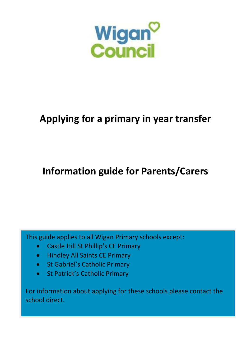

# **Applying for a primary in year transfer**

# **Information guide for Parents/Carers**

This guide applies to all Wigan Primary schools except:

- Castle Hill St Phillip's CE Primary
- Hindley All Saints CE Primary
- St Gabriel's Catholic Primary
- St Patrick's Catholic Primary

For information about applying for these schools please contact the school direct.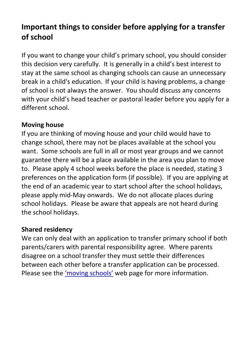# **Important things to consider before applying for a transfer of school**

If you want to change your child's primary school, you should consider this decision very carefully. It is generally in a child's best interest to stay at the same school as changing schools can cause an unnecessary break in a child's education. If your child is having problems, a change of school is not always the answer. You should discuss any concerns with your child's head teacher or pastoral leader before you apply for a different school.

### **Moving house**

If you are thinking of moving house and your child would have to change school, there may not be places available at the school you want. Some schools are full in all or most year groups and we cannot guarantee there will be a place available in the area you plan to move to. Please apply 4 school weeks before the place is needed, stating 3 preferences on the application form (if possible). If you are applying at the end of an academic year to start school after the school holidays, please apply mid-May onwards. We do not allocate places during school holidays. Please be aware that appeals are not heard during the school holidays.

#### **Shared residency**

We can only deal with an application to transfer primary school if both parents/carers with parental responsibility agree. Where parents disagree on a school transfer they must settle their differences between each other before a transfer application can be processed. Please see the 'moving schools' web page for more information.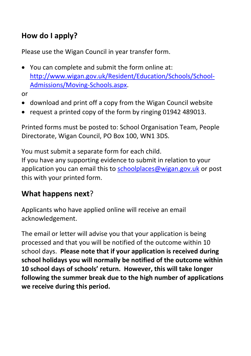# **How do I apply?**

Please use the Wigan Council in year transfer form.

• You can complete and submit the form online at: http://www.wigan.gov.uk/Resident/Education/Schools/School-Admissions/Moving-Schools.aspx.

or

- download and print off a copy from the Wigan Council website
- request a printed copy of the form by ringing 01942 489013.

Printed forms must be posted to: School Organisation Team, People Directorate, Wigan Council, PO Box 100, WN1 3DS.

You must submit a separate form for each child. If you have any supporting evidence to submit in relation to your application you can email this to schoolplaces@wigan.gov.uk or post this with your printed form.

## **What happens next**?

Applicants who have applied online will receive an email acknowledgement.

The email or letter will advise you that your application is being processed and that you will be notified of the outcome within 10 school days. **Please note that if your application is received during school holidays you will normally be notified of the outcome within 10 school days of schools' return. However, this will take longer following the summer break due to the high number of applications we receive during this period.**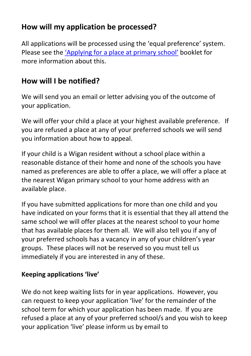# **How will my application be processed?**

All applications will be processed using the 'equal preference' system. Please see the 'Applying for a place at primary school' booklet for more information about this.

## **How will I be notified?**

We will send you an email or letter advising you of the outcome of your application.

We will offer your child a place at your highest available preference. If you are refused a place at any of your preferred schools we will send you information about how to appeal.

If your child is a Wigan resident without a school place within a reasonable distance of their home and none of the schools you have named as preferences are able to offer a place, we will offer a place at the nearest Wigan primary school to your home address with an available place.

If you have submitted applications for more than one child and you have indicated on your forms that it is essential that they all attend the same school we will offer places at the nearest school to your home that has available places for them all. We will also tell you if any of your preferred schools has a vacancy in any of your children's year groups. These places will not be reserved so you must tell us immediately if you are interested in any of these.

### **Keeping applications 'live'**

We do not keep waiting lists for in year applications. However, you can request to keep your application 'live' for the remainder of the school term for which your application has been made. If you are refused a place at any of your preferred school/s and you wish to keep your application 'live' please inform us by email to